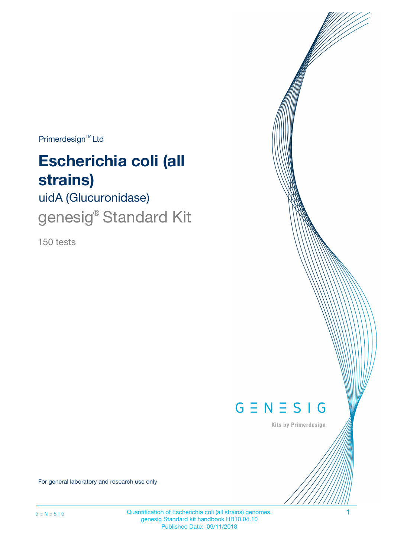Primerdesign<sup>™</sup>Ltd

# **Escherichia coli (all strains)**

uidA (Glucuronidase)

genesig<sup>®</sup> Standard Kit

150 tests



Kits by Primerdesign

For general laboratory and research use only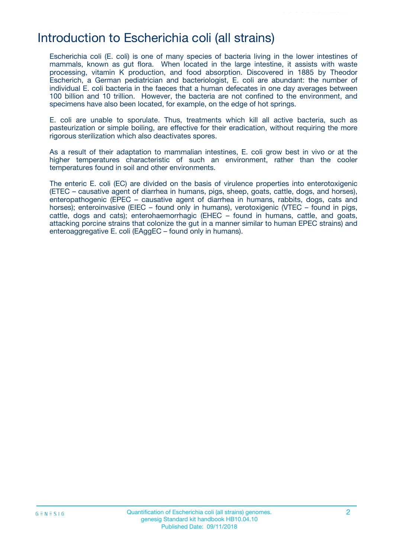# Introduction to Escherichia coli (all strains)

Escherichia coli (E. coli) is one of many species of bacteria living in the lower intestines of mammals, known as gut flora. When located in the large intestine, it assists with waste processing, vitamin K production, and food absorption. Discovered in 1885 by Theodor Escherich, a German pediatrician and bacteriologist, E. coli are abundant: the number of individual E. coli bacteria in the faeces that a human defecates in one day averages between 100 billion and 10 trillion. However, the bacteria are not confined to the environment, and specimens have also been located, for example, on the edge of hot springs.

E. coli are unable to sporulate. Thus, treatments which kill all active bacteria, such as pasteurization or simple boiling, are effective for their eradication, without requiring the more rigorous sterilization which also deactivates spores.

As a result of their adaptation to mammalian intestines, E. coli grow best in vivo or at the higher temperatures characteristic of such an environment, rather than the cooler temperatures found in soil and other environments.

The enteric E. coli (EC) are divided on the basis of virulence properties into enterotoxigenic (ETEC – causative agent of diarrhea in humans, pigs, sheep, goats, cattle, dogs, and horses), enteropathogenic (EPEC – causative agent of diarrhea in humans, rabbits, dogs, cats and horses); enteroinvasive (EIEC – found only in humans), verotoxigenic (VTEC – found in pigs, cattle, dogs and cats); enterohaemorrhagic (EHEC – found in humans, cattle, and goats, attacking porcine strains that colonize the gut in a manner similar to human EPEC strains) and enteroaggregative E. coli (EAggEC – found only in humans).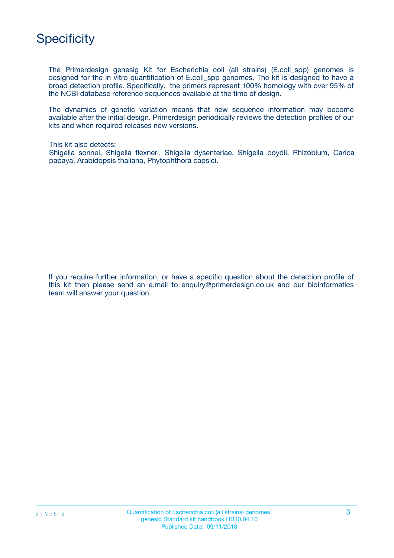

The Primerdesign genesig Kit for Escherichia coli (all strains) (E.coli\_spp) genomes is designed for the in vitro quantification of E.coli\_spp genomes. The kit is designed to have a broad detection profile. Specifically, the primers represent 100% homology with over 95% of the NCBI database reference sequences available at the time of design.

The dynamics of genetic variation means that new sequence information may become available after the initial design. Primerdesign periodically reviews the detection profiles of our kits and when required releases new versions.

This kit also detects:

Shigella sonnei, Shigella flexneri, Shigella dysenteriae, Shigella boydii, Rhizobium, Carica papaya, Arabidopsis thaliana, Phytophthora capsici.

If you require further information, or have a specific question about the detection profile of this kit then please send an e.mail to enquiry@primerdesign.co.uk and our bioinformatics team will answer your question.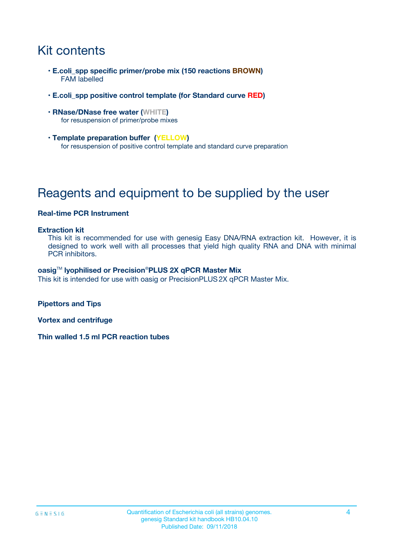# Kit contents

- **E.coli\_spp specific primer/probe mix (150 reactions BROWN)** FAM labelled
- **E.coli\_spp positive control template (for Standard curve RED)**
- **RNase/DNase free water (WHITE)** for resuspension of primer/probe mixes
- **Template preparation buffer (YELLOW)** for resuspension of positive control template and standard curve preparation

# Reagents and equipment to be supplied by the user

#### **Real-time PCR Instrument**

#### **Extraction kit**

This kit is recommended for use with genesig Easy DNA/RNA extraction kit. However, it is designed to work well with all processes that yield high quality RNA and DNA with minimal PCR inhibitors.

#### **oasig**TM **lyophilised or Precision**®**PLUS 2X qPCR Master Mix**

This kit is intended for use with oasig or PrecisionPLUS2X qPCR Master Mix.

**Pipettors and Tips**

**Vortex and centrifuge**

**Thin walled 1.5 ml PCR reaction tubes**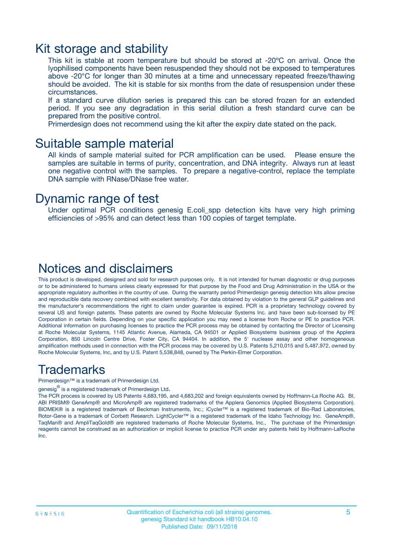### Kit storage and stability

This kit is stable at room temperature but should be stored at -20ºC on arrival. Once the lyophilised components have been resuspended they should not be exposed to temperatures above -20°C for longer than 30 minutes at a time and unnecessary repeated freeze/thawing should be avoided. The kit is stable for six months from the date of resuspension under these circumstances.

If a standard curve dilution series is prepared this can be stored frozen for an extended period. If you see any degradation in this serial dilution a fresh standard curve can be prepared from the positive control.

Primerdesign does not recommend using the kit after the expiry date stated on the pack.

### Suitable sample material

All kinds of sample material suited for PCR amplification can be used. Please ensure the samples are suitable in terms of purity, concentration, and DNA integrity. Always run at least one negative control with the samples. To prepare a negative-control, replace the template DNA sample with RNase/DNase free water.

### Dynamic range of test

Under optimal PCR conditions genesig E.coli\_spp detection kits have very high priming efficiencies of >95% and can detect less than 100 copies of target template.

### Notices and disclaimers

This product is developed, designed and sold for research purposes only. It is not intended for human diagnostic or drug purposes or to be administered to humans unless clearly expressed for that purpose by the Food and Drug Administration in the USA or the appropriate regulatory authorities in the country of use. During the warranty period Primerdesign genesig detection kits allow precise and reproducible data recovery combined with excellent sensitivity. For data obtained by violation to the general GLP guidelines and the manufacturer's recommendations the right to claim under guarantee is expired. PCR is a proprietary technology covered by several US and foreign patents. These patents are owned by Roche Molecular Systems Inc. and have been sub-licensed by PE Corporation in certain fields. Depending on your specific application you may need a license from Roche or PE to practice PCR. Additional information on purchasing licenses to practice the PCR process may be obtained by contacting the Director of Licensing at Roche Molecular Systems, 1145 Atlantic Avenue, Alameda, CA 94501 or Applied Biosystems business group of the Applera Corporation, 850 Lincoln Centre Drive, Foster City, CA 94404. In addition, the 5' nuclease assay and other homogeneous amplification methods used in connection with the PCR process may be covered by U.S. Patents 5,210,015 and 5,487,972, owned by Roche Molecular Systems, Inc, and by U.S. Patent 5,538,848, owned by The Perkin-Elmer Corporation.

### Trademarks

Primerdesign™ is a trademark of Primerdesign Ltd.

genesig $^\circledR$  is a registered trademark of Primerdesign Ltd.

The PCR process is covered by US Patents 4,683,195, and 4,683,202 and foreign equivalents owned by Hoffmann-La Roche AG. BI, ABI PRISM® GeneAmp® and MicroAmp® are registered trademarks of the Applera Genomics (Applied Biosystems Corporation). BIOMEK® is a registered trademark of Beckman Instruments, Inc.; iCycler™ is a registered trademark of Bio-Rad Laboratories, Rotor-Gene is a trademark of Corbett Research. LightCycler™ is a registered trademark of the Idaho Technology Inc. GeneAmp®, TaqMan® and AmpliTaqGold® are registered trademarks of Roche Molecular Systems, Inc., The purchase of the Primerdesign reagents cannot be construed as an authorization or implicit license to practice PCR under any patents held by Hoffmann-LaRoche Inc.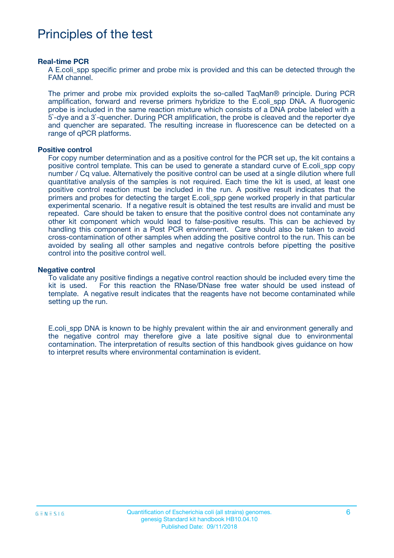# Principles of the test

#### **Real-time PCR**

A E.coli spp specific primer and probe mix is provided and this can be detected through the FAM channel.

The primer and probe mix provided exploits the so-called TaqMan® principle. During PCR amplification, forward and reverse primers hybridize to the E.coli\_spp DNA. A fluorogenic probe is included in the same reaction mixture which consists of a DNA probe labeled with a 5`-dye and a 3`-quencher. During PCR amplification, the probe is cleaved and the reporter dye and quencher are separated. The resulting increase in fluorescence can be detected on a range of qPCR platforms.

#### **Positive control**

For copy number determination and as a positive control for the PCR set up, the kit contains a positive control template. This can be used to generate a standard curve of E.coli\_spp copy number / Cq value. Alternatively the positive control can be used at a single dilution where full quantitative analysis of the samples is not required. Each time the kit is used, at least one positive control reaction must be included in the run. A positive result indicates that the primers and probes for detecting the target E.coli\_spp gene worked properly in that particular experimental scenario. If a negative result is obtained the test results are invalid and must be repeated. Care should be taken to ensure that the positive control does not contaminate any other kit component which would lead to false-positive results. This can be achieved by handling this component in a Post PCR environment. Care should also be taken to avoid cross-contamination of other samples when adding the positive control to the run. This can be avoided by sealing all other samples and negative controls before pipetting the positive control into the positive control well.

#### **Negative control**

To validate any positive findings a negative control reaction should be included every time the kit is used. For this reaction the RNase/DNase free water should be used instead of template. A negative result indicates that the reagents have not become contaminated while setting up the run.

E.coli\_spp DNA is known to be highly prevalent within the air and environment generally and the negative control may therefore give a late positive signal due to environmental contamination. The interpretation of results section of this handbook gives guidance on how to interpret results where environmental contamination is evident.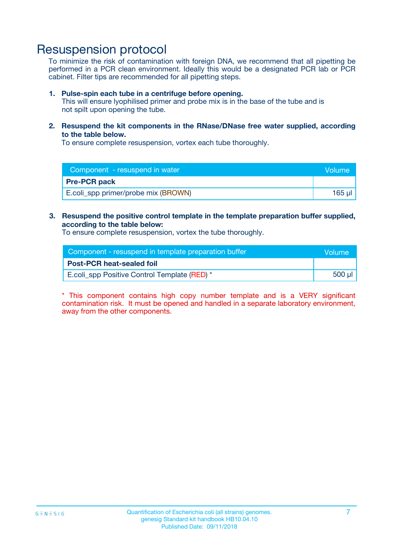# Resuspension protocol

To minimize the risk of contamination with foreign DNA, we recommend that all pipetting be performed in a PCR clean environment. Ideally this would be a designated PCR lab or PCR cabinet. Filter tips are recommended for all pipetting steps.

#### **1. Pulse-spin each tube in a centrifuge before opening.**

This will ensure lyophilised primer and probe mix is in the base of the tube and is not spilt upon opening the tube.

**2. Resuspend the kit components in the RNase/DNase free water supplied, according to the table below.**

To ensure complete resuspension, vortex each tube thoroughly.

| Component - resuspend in water      | <b>Nolume</b> |
|-------------------------------------|---------------|
| <b>Pre-PCR pack</b>                 |               |
| E.coli_spp primer/probe mix (BROWN) | 165 ul        |

### **3. Resuspend the positive control template in the template preparation buffer supplied, according to the table below:**

To ensure complete resuspension, vortex the tube thoroughly.

| Component - resuspend in template preparation buffer |        |  |
|------------------------------------------------------|--------|--|
| <b>Post-PCR heat-sealed foil</b>                     |        |  |
| E.coli spp Positive Control Template (RED) *         | 500 µl |  |

\* This component contains high copy number template and is a VERY significant contamination risk. It must be opened and handled in a separate laboratory environment, away from the other components.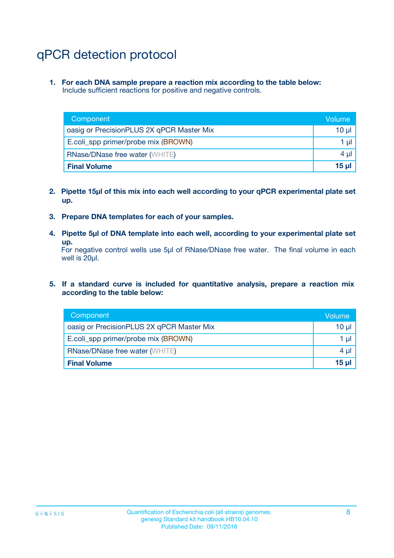# qPCR detection protocol

**1. For each DNA sample prepare a reaction mix according to the table below:** Include sufficient reactions for positive and negative controls.

| Component                                 | Volume           |
|-------------------------------------------|------------------|
| oasig or PrecisionPLUS 2X qPCR Master Mix | 10 $\mu$         |
| E.coli_spp primer/probe mix (BROWN)       | 1 $\mu$          |
| <b>RNase/DNase free water (WHITE)</b>     | $4 \mu$          |
| <b>Final Volume</b>                       | 15 <sub>ul</sub> |

- **2. Pipette 15µl of this mix into each well according to your qPCR experimental plate set up.**
- **3. Prepare DNA templates for each of your samples.**
- **4. Pipette 5µl of DNA template into each well, according to your experimental plate set up.**

For negative control wells use 5µl of RNase/DNase free water. The final volume in each well is 20µl.

**5. If a standard curve is included for quantitative analysis, prepare a reaction mix according to the table below:**

| Component                                 | Volume   |
|-------------------------------------------|----------|
| oasig or PrecisionPLUS 2X qPCR Master Mix | $10 \mu$ |
| E.coli_spp primer/probe mix (BROWN)       | 1 µI     |
| <b>RNase/DNase free water (WHITE)</b>     | $4 \mu$  |
| <b>Final Volume</b>                       | $15$ µ   |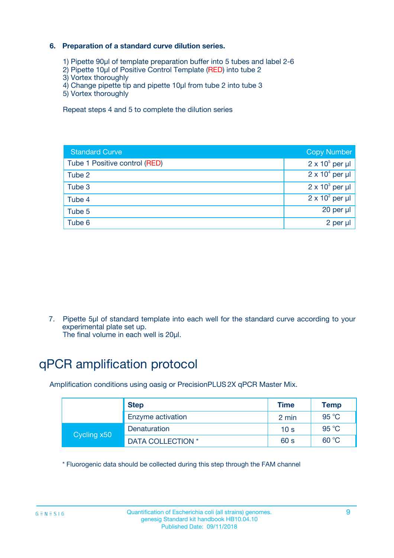### **6. Preparation of a standard curve dilution series.**

- 1) Pipette 90µl of template preparation buffer into 5 tubes and label 2-6
- 2) Pipette 10µl of Positive Control Template (RED) into tube 2
- 3) Vortex thoroughly
- 4) Change pipette tip and pipette 10µl from tube 2 into tube 3
- 5) Vortex thoroughly

Repeat steps 4 and 5 to complete the dilution series

| <b>Standard Curve</b>         | <b>Copy Number</b>     |
|-------------------------------|------------------------|
| Tube 1 Positive control (RED) | $2 \times 10^5$ per µl |
| Tube 2                        | $2 \times 10^4$ per µl |
| Tube 3                        | $2 \times 10^3$ per µl |
| Tube 4                        | $2 \times 10^2$ per µl |
| Tube 5                        | 20 per µl              |
| Tube 6                        | 2 per ul               |

7. Pipette 5µl of standard template into each well for the standard curve according to your experimental plate set up.

The final volume in each well is 20µl.

# qPCR amplification protocol

Amplification conditions using oasig or PrecisionPLUS2X qPCR Master Mix.

| <b>Step</b> |                   | <b>Time</b>     | Temp    |
|-------------|-------------------|-----------------|---------|
|             | Enzyme activation | 2 min           | 95 °C   |
| Cycling x50 | Denaturation      | 10 <sub>s</sub> | 95 $°C$ |
|             | DATA COLLECTION * | 60 s            | 60 °C   |

\* Fluorogenic data should be collected during this step through the FAM channel